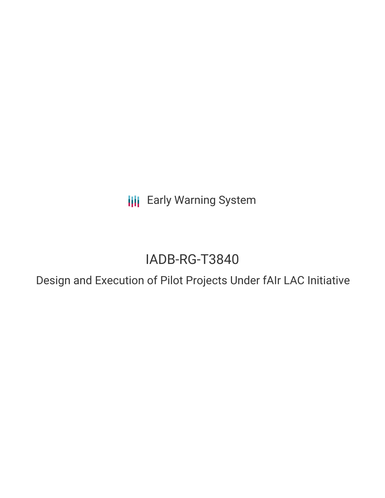**III** Early Warning System

# IADB-RG-T3840

Design and Execution of Pilot Projects Under fAIr LAC Initiative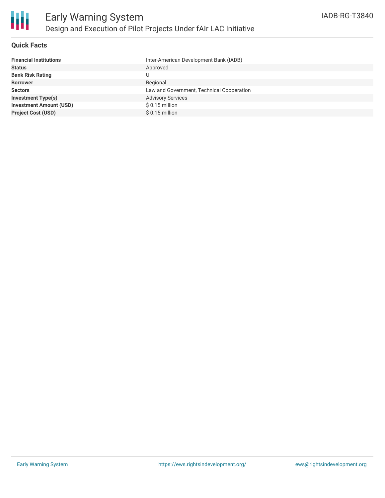

#### **Quick Facts**

| <b>Financial Institutions</b>  | Inter-American Development Bank (IADB)    |
|--------------------------------|-------------------------------------------|
| <b>Status</b>                  | Approved                                  |
| <b>Bank Risk Rating</b>        | U                                         |
| <b>Borrower</b>                | Regional                                  |
| <b>Sectors</b>                 | Law and Government, Technical Cooperation |
| <b>Investment Type(s)</b>      | <b>Advisory Services</b>                  |
| <b>Investment Amount (USD)</b> | $$0.15$ million                           |
| <b>Project Cost (USD)</b>      | $$0.15$ million                           |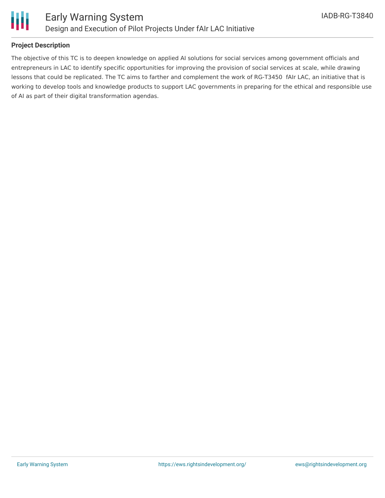

### **Project Description**

The objective of this TC is to deepen knowledge on applied AI solutions for social services among government officials and entrepreneurs in LAC to identify specific opportunities for improving the provision of social services at scale, while drawing lessons that could be replicated. The TC aims to farther and complement the work of RG-T3450 fAIr LAC, an initiative that is working to develop tools and knowledge products to support LAC governments in preparing for the ethical and responsible use of AI as part of their digital transformation agendas.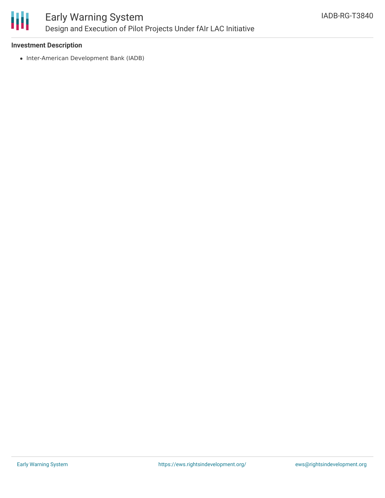

## Early Warning System Design and Execution of Pilot Projects Under fAIr LAC Initiative

### **Investment Description**

• Inter-American Development Bank (IADB)